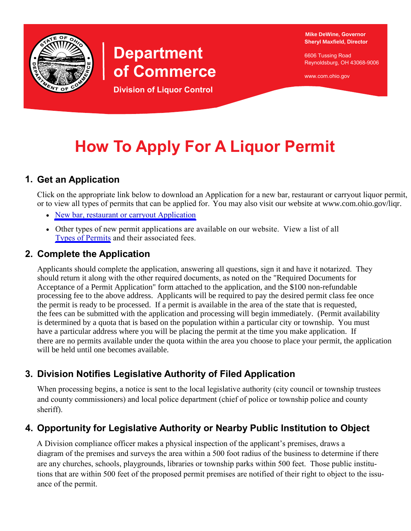

# **Department of Commerce**

**Division of Liquor Control**

**Mike DeWine, Governor Sheryl Maxfield, Director**

6606 Tussing Road Reynoldsburg, OH 43068-9006

www.com.ohio.gov

# **How To Apply For A Liquor Permit**

### **1. Get an Application**

Click on the appropriate link below to download an Application for a new bar, restaurant or carryout liquor permit, or to view all types of permits that can be applied for. You may also visit our website at www.com.ohio.gov/liqr.

- [New bar, restaurant or carryout Application](http://www.com.ohio.gov/documents/liqr_4113.pdf)
- Other types of new permit applications are available on our website. View a list of all [Types of Permits](http://www.com.ohio.gov/liqr/permitClasses.aspx) and their associated fees.

### **2. Complete the Application**

Applicants should complete the application, answering all questions, sign it and have it notarized. They should return it along with the other required documents, as noted on the "Required Documents for Acceptance of a Permit Application" form attached to the application, and the \$100 non-refundable processing fee to the above address. Applicants will be required to pay the desired permit class fee once the permit is ready to be processed. If a permit is available in the area of the state that is requested, the fees can be submitted with the application and processing will begin immediately. (Permit availability is determined by a quota that is based on the population within a particular city or township. You must have a particular address where you will be placing the permit at the time you make application. If there are no permits available under the quota within the area you choose to place your permit, the application will be held until one becomes available.

# **3. Division Notifies Legislative Authority of Filed Application**

When processing begins, a notice is sent to the local legislative authority (city council or township trustees and county commissioners) and local police department (chief of police or township police and county sheriff).

# **4. Opportunity for Legislative Authority or Nearby Public Institution to Object**

A Division compliance officer makes a physical inspection of the applicant's premises, draws a diagram of the premises and surveys the area within a 500 foot radius of the business to determine if there are any churches, schools, playgrounds, libraries or township parks within 500 feet. Those public institutions that are within 500 feet of the proposed permit premises are notified of their right to object to the issuance of the permit.